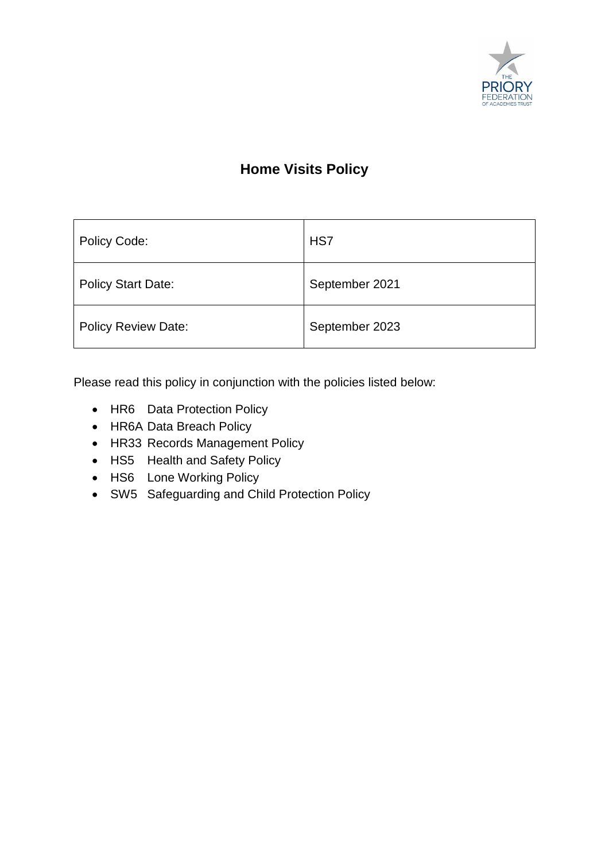

### **Home Visits Policy**

| Policy Code:               | HS7            |
|----------------------------|----------------|
| <b>Policy Start Date:</b>  | September 2021 |
| <b>Policy Review Date:</b> | September 2023 |

Please read this policy in conjunction with the policies listed below:

- HR6 Data Protection Policy
- HR6A Data Breach Policy
- HR33 Records Management Policy
- HS5 Health and Safety Policy
- HS6 Lone Working Policy
- SW5 Safeguarding and Child Protection Policy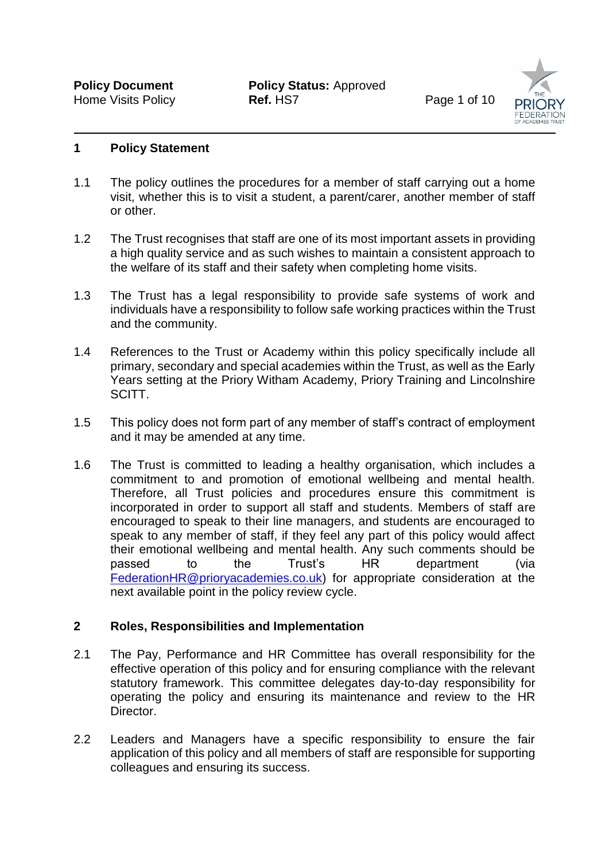**Policy Document Policy Status: Approved** Home Visits Policy **Ref.** HS7 **Page 1 of 10** 



#### **1 Policy Statement**

- 1.1 The policy outlines the procedures for a member of staff carrying out a home visit, whether this is to visit a student, a parent/carer, another member of staff or other.
- 1.2 The Trust recognises that staff are one of its most important assets in providing a high quality service and as such wishes to maintain a consistent approach to the welfare of its staff and their safety when completing home visits.
- 1.3 The Trust has a legal responsibility to provide safe systems of work and individuals have a responsibility to follow safe working practices within the Trust and the community.
- 1.4 References to the Trust or Academy within this policy specifically include all primary, secondary and special academies within the Trust, as well as the Early Years setting at the Priory Witham Academy, Priory Training and Lincolnshire SCITT.
- 1.5 This policy does not form part of any member of staff's contract of employment and it may be amended at any time.
- 1.6 The Trust is committed to leading a healthy organisation, which includes a commitment to and promotion of emotional wellbeing and mental health. Therefore, all Trust policies and procedures ensure this commitment is incorporated in order to support all staff and students. Members of staff are encouraged to speak to their line managers, and students are encouraged to speak to any member of staff, if they feel any part of this policy would affect their emotional wellbeing and mental health. Any such comments should be passed to the Trust's HR department (via [FederationHR@prioryacademies.co.uk\)](mailto:FederationHR@prioryacademies.co.uk) for appropriate consideration at the next available point in the policy review cycle.

#### **2 Roles, Responsibilities and Implementation**

- 2.1 The Pay, Performance and HR Committee has overall responsibility for the effective operation of this policy and for ensuring compliance with the relevant statutory framework. This committee delegates day-to-day responsibility for operating the policy and ensuring its maintenance and review to the HR Director.
- 2.2 Leaders and Managers have a specific responsibility to ensure the fair application of this policy and all members of staff are responsible for supporting colleagues and ensuring its success.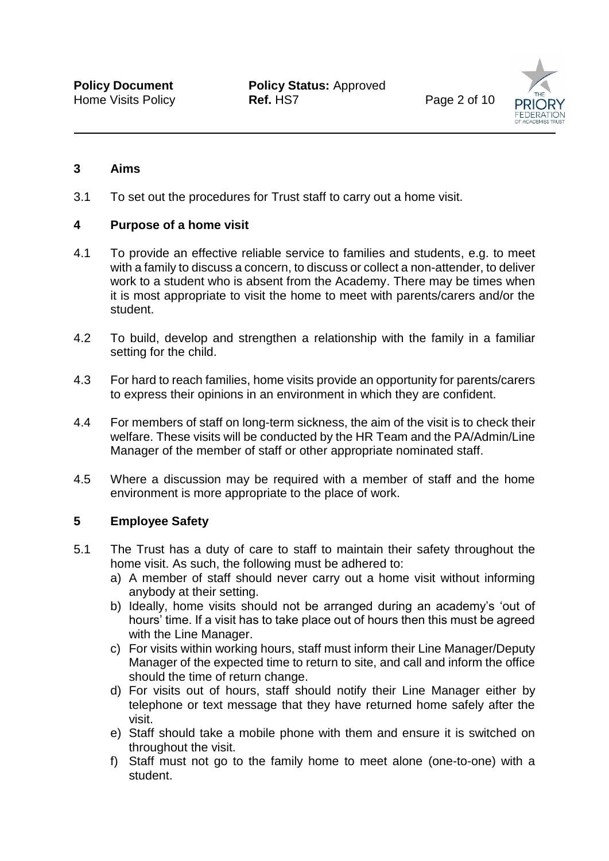**Policy Document Policy Status: Approved** Home Visits Policy **Ref.** HS7 Page 2 of 10



#### **3 Aims**

3.1 To set out the procedures for Trust staff to carry out a home visit.

#### **4 Purpose of a home visit**

- 4.1 To provide an effective reliable service to families and students, e.g. to meet with a family to discuss a concern, to discuss or collect a non-attender, to deliver work to a student who is absent from the Academy. There may be times when it is most appropriate to visit the home to meet with parents/carers and/or the student.
- 4.2 To build, develop and strengthen a relationship with the family in a familiar setting for the child.
- 4.3 For hard to reach families, home visits provide an opportunity for parents/carers to express their opinions in an environment in which they are confident.
- 4.4 For members of staff on long-term sickness, the aim of the visit is to check their welfare. These visits will be conducted by the HR Team and the PA/Admin/Line Manager of the member of staff or other appropriate nominated staff.
- 4.5 Where a discussion may be required with a member of staff and the home environment is more appropriate to the place of work.

#### **5 Employee Safety**

- 5.1 The Trust has a duty of care to staff to maintain their safety throughout the home visit. As such, the following must be adhered to:
	- a) A member of staff should never carry out a home visit without informing anybody at their setting.
	- b) Ideally, home visits should not be arranged during an academy's 'out of hours' time. If a visit has to take place out of hours then this must be agreed with the Line Manager.
	- c) For visits within working hours, staff must inform their Line Manager/Deputy Manager of the expected time to return to site, and call and inform the office should the time of return change.
	- d) For visits out of hours, staff should notify their Line Manager either by telephone or text message that they have returned home safely after the visit.
	- e) Staff should take a mobile phone with them and ensure it is switched on throughout the visit.
	- f) Staff must not go to the family home to meet alone (one-to-one) with a student.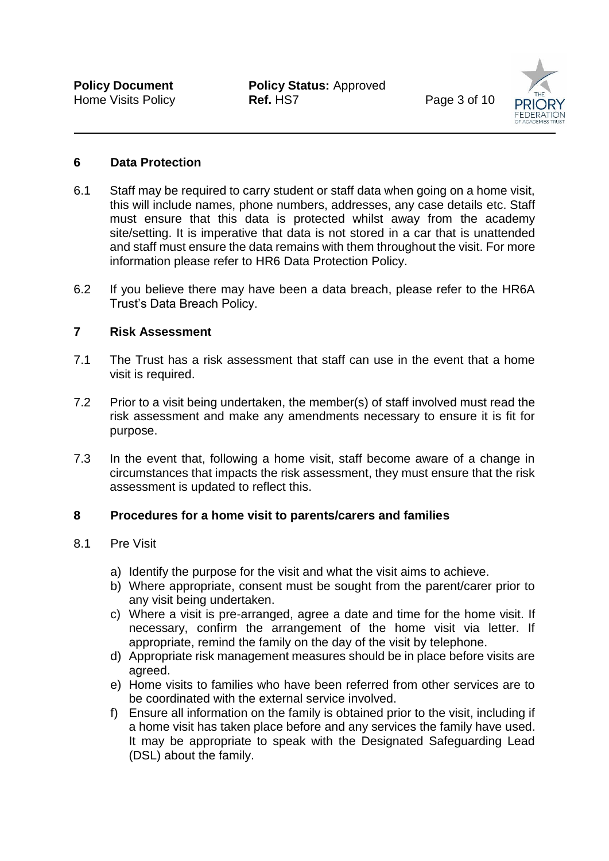**Policy Document Policy Status: Approved** Home Visits Policy **Ref.** HS7 **Page 3 of 10** 



#### **6 Data Protection**

- 6.1 Staff may be required to carry student or staff data when going on a home visit, this will include names, phone numbers, addresses, any case details etc. Staff must ensure that this data is protected whilst away from the academy site/setting. It is imperative that data is not stored in a car that is unattended and staff must ensure the data remains with them throughout the visit. For more information please refer to HR6 Data Protection Policy.
- 6.2 If you believe there may have been a data breach, please refer to the HR6A Trust's Data Breach Policy.

#### **7 Risk Assessment**

- 7.1 The Trust has a risk assessment that staff can use in the event that a home visit is required.
- 7.2 Prior to a visit being undertaken, the member(s) of staff involved must read the risk assessment and make any amendments necessary to ensure it is fit for purpose.
- 7.3 In the event that, following a home visit, staff become aware of a change in circumstances that impacts the risk assessment, they must ensure that the risk assessment is updated to reflect this.

#### **8 Procedures for a home visit to parents/carers and families**

#### 8.1 Pre Visit

- a) Identify the purpose for the visit and what the visit aims to achieve.
- b) Where appropriate, consent must be sought from the parent/carer prior to any visit being undertaken.
- c) Where a visit is pre-arranged, agree a date and time for the home visit. If necessary, confirm the arrangement of the home visit via letter. If appropriate, remind the family on the day of the visit by telephone.
- d) Appropriate risk management measures should be in place before visits are agreed.
- e) Home visits to families who have been referred from other services are to be coordinated with the external service involved.
- f) Ensure all information on the family is obtained prior to the visit, including if a home visit has taken place before and any services the family have used. It may be appropriate to speak with the Designated Safeguarding Lead (DSL) about the family.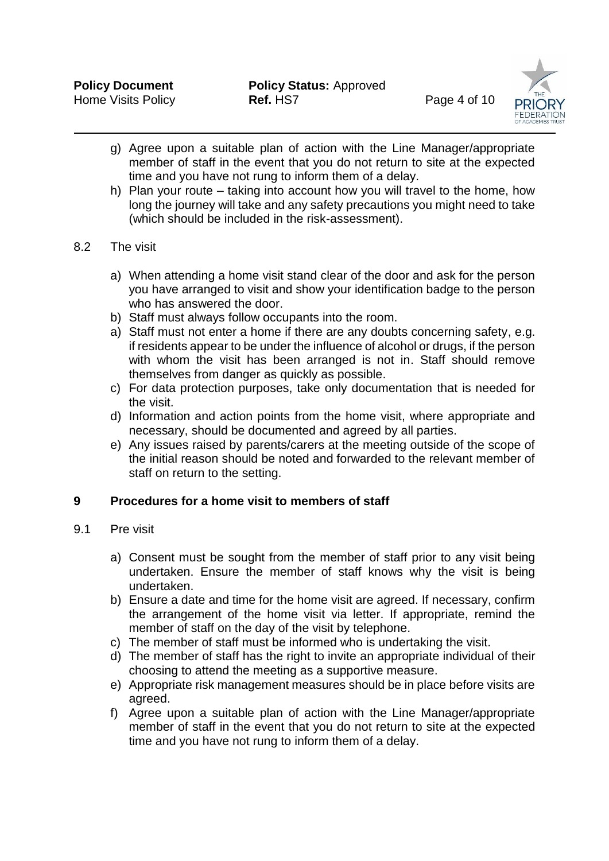

- g) Agree upon a suitable plan of action with the Line Manager/appropriate member of staff in the event that you do not return to site at the expected time and you have not rung to inform them of a delay.
- h) Plan your route taking into account how you will travel to the home, how long the journey will take and any safety precautions you might need to take (which should be included in the risk-assessment).

#### 8.2 The visit

- a) When attending a home visit stand clear of the door and ask for the person you have arranged to visit and show your identification badge to the person who has answered the door.
- b) Staff must always follow occupants into the room.
- a) Staff must not enter a home if there are any doubts concerning safety, e.g. if residents appear to be under the influence of alcohol or drugs, if the person with whom the visit has been arranged is not in. Staff should remove themselves from danger as quickly as possible.
- c) For data protection purposes, take only documentation that is needed for the visit.
- d) Information and action points from the home visit, where appropriate and necessary, should be documented and agreed by all parties.
- e) Any issues raised by parents/carers at the meeting outside of the scope of the initial reason should be noted and forwarded to the relevant member of staff on return to the setting.

#### **9 Procedures for a home visit to members of staff**

#### 9.1 Pre visit

- a) Consent must be sought from the member of staff prior to any visit being undertaken. Ensure the member of staff knows why the visit is being undertaken.
- b) Ensure a date and time for the home visit are agreed. If necessary, confirm the arrangement of the home visit via letter. If appropriate, remind the member of staff on the day of the visit by telephone.
- c) The member of staff must be informed who is undertaking the visit.
- d) The member of staff has the right to invite an appropriate individual of their choosing to attend the meeting as a supportive measure.
- e) Appropriate risk management measures should be in place before visits are agreed.
- f) Agree upon a suitable plan of action with the Line Manager/appropriate member of staff in the event that you do not return to site at the expected time and you have not rung to inform them of a delay.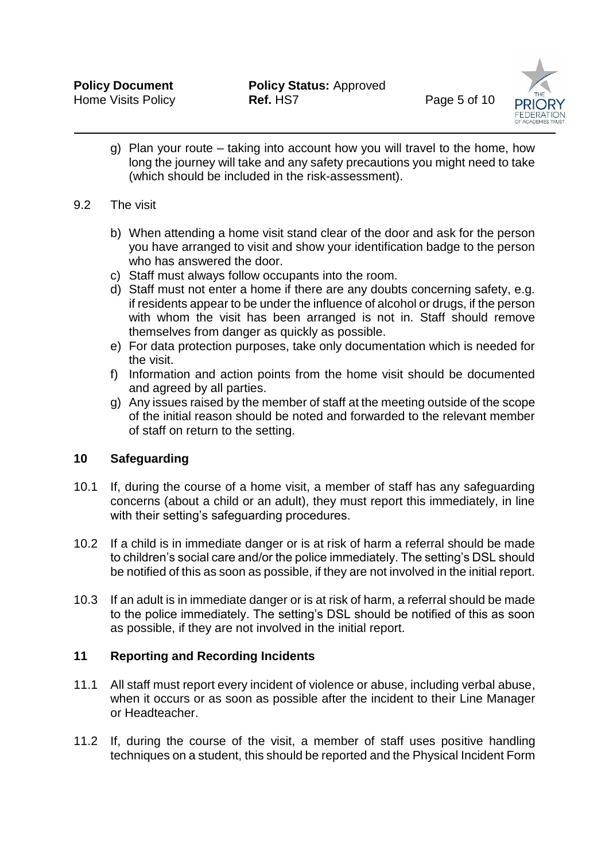

g) Plan your route – taking into account how you will travel to the home, how long the journey will take and any safety precautions you might need to take (which should be included in the risk-assessment).

#### 9.2 The visit

- b) When attending a home visit stand clear of the door and ask for the person you have arranged to visit and show your identification badge to the person who has answered the door.
- c) Staff must always follow occupants into the room.
- d) Staff must not enter a home if there are any doubts concerning safety, e.g. if residents appear to be under the influence of alcohol or drugs, if the person with whom the visit has been arranged is not in. Staff should remove themselves from danger as quickly as possible.
- e) For data protection purposes, take only documentation which is needed for the visit.
- f) Information and action points from the home visit should be documented and agreed by all parties.
- g) Any issues raised by the member of staff at the meeting outside of the scope of the initial reason should be noted and forwarded to the relevant member of staff on return to the setting.

#### **10 Safeguarding**

- 10.1 If, during the course of a home visit, a member of staff has any safeguarding concerns (about a child or an adult), they must report this immediately, in line with their setting's safeguarding procedures.
- 10.2 If a child is in immediate danger or is at risk of harm a referral should be made to children's social care and/or the police immediately. The setting's DSL should be notified of this as soon as possible, if they are not involved in the initial report.
- 10.3 If an adult is in immediate danger or is at risk of harm, a referral should be made to the police immediately. The setting's DSL should be notified of this as soon as possible, if they are not involved in the initial report.

#### **11 Reporting and Recording Incidents**

- 11.1 All staff must report every incident of violence or abuse, including verbal abuse, when it occurs or as soon as possible after the incident to their Line Manager or Headteacher.
- 11.2 If, during the course of the visit, a member of staff uses positive handling techniques on a student, this should be reported and the Physical Incident Form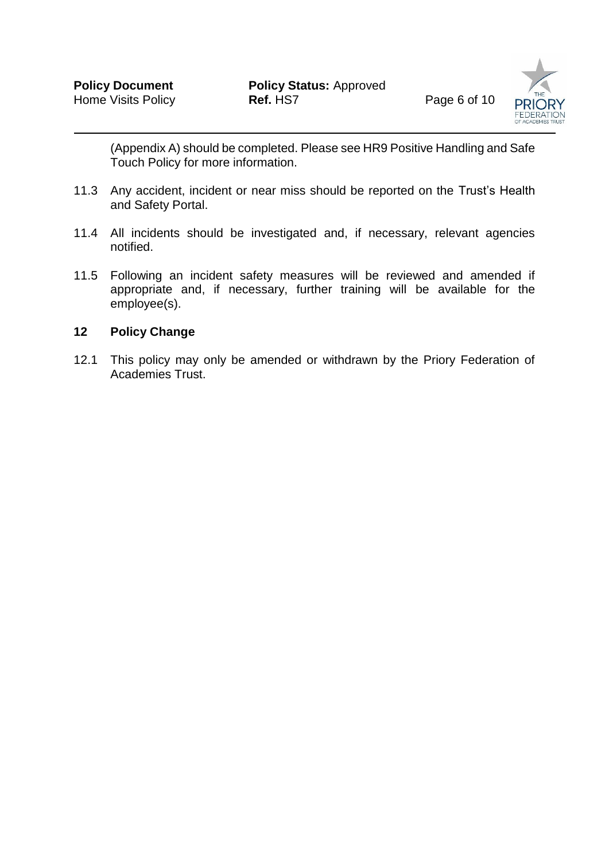

(Appendix A) should be completed. Please see HR9 Positive Handling and Safe Touch Policy for more information.

- 11.3 Any accident, incident or near miss should be reported on the Trust's Health and Safety Portal.
- 11.4 All incidents should be investigated and, if necessary, relevant agencies notified.
- 11.5 Following an incident safety measures will be reviewed and amended if appropriate and, if necessary, further training will be available for the employee(s).

#### **12 Policy Change**

12.1 This policy may only be amended or withdrawn by the Priory Federation of Academies Trust.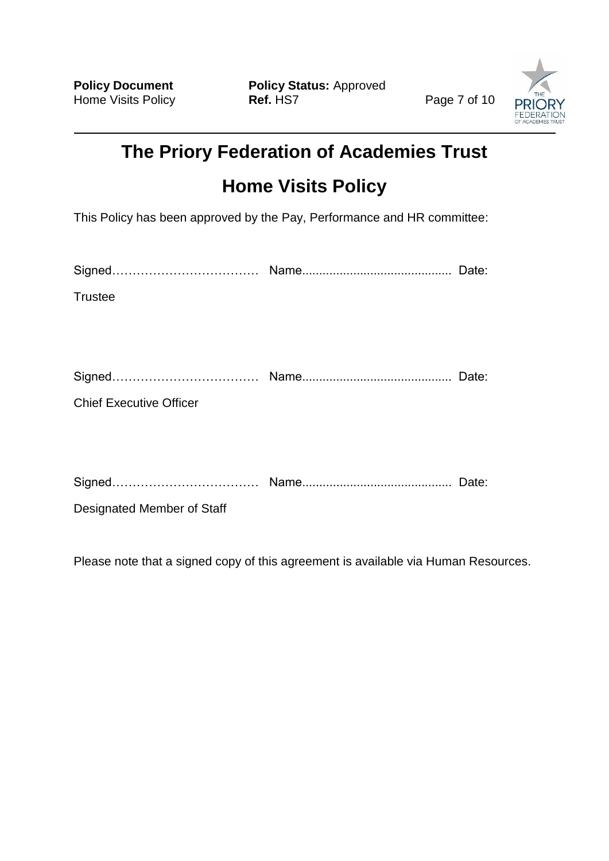**Policy Document Policy Status:** Approved Home Visits Policy **Ref. HS7** Home Visits Policy **Ref.** HS7 **Page 7 of 10** 

![](_page_7_Picture_3.jpeg)

# **The Priory Federation of Academies Trust Home Visits Policy**

This Policy has been approved by the Pay, Performance and HR committee:

| <b>Trustee</b> |  |
|----------------|--|
|                |  |

| <b>Cinne</b><br>OIQIIBQ………………………………… Ivanic…………………………………… レ |  |
|-------------------------------------------------------------|--|
|-------------------------------------------------------------|--|

Chief Executive Officer

|--|--|--|

Designated Member of Staff

Please note that a signed copy of this agreement is available via Human Resources.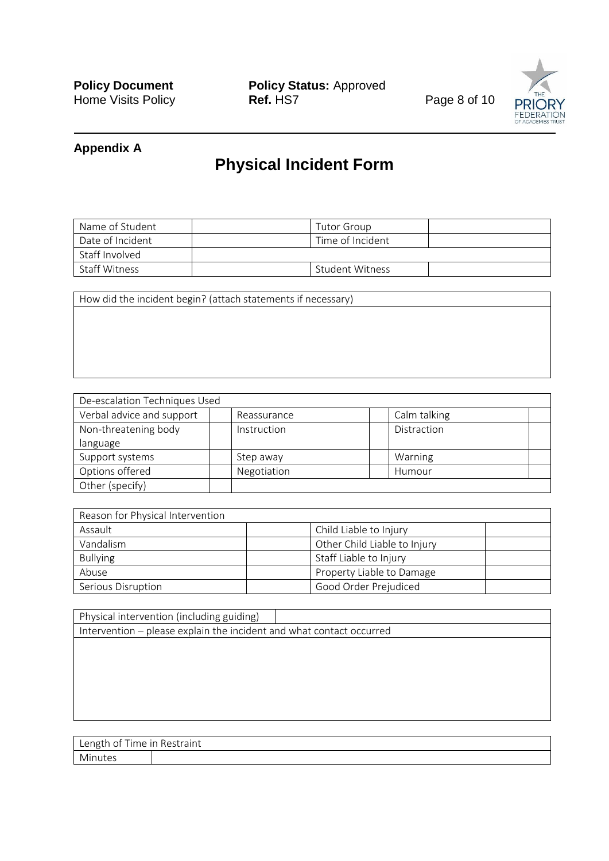**Policy Document Policy Status:** Approved Home Visits Policy **Property Ref. HS7** Home Visits Policy **Ref.** HS7 **Page 8 of 10** 

![](_page_8_Picture_3.jpeg)

#### **Appendix A**

## **Physical Incident Form**

| Name of Student      | Tutor Group      |  |
|----------------------|------------------|--|
| Date of Incident     | Time of Incident |  |
| Staff Involved       |                  |  |
| <b>Staff Witness</b> | Student Witness  |  |

How did the incident begin? (attach statements if necessary)

| De-escalation Techniques Used |             |              |  |
|-------------------------------|-------------|--------------|--|
| Verbal advice and support     | Reassurance | Calm talking |  |
| Non-threatening body          | Instruction | Distraction  |  |
| language                      |             |              |  |
| Support systems               | Step away   | Warning      |  |
| Options offered               | Negotiation | Humour       |  |
| Other (specify)               |             |              |  |

| Reason for Physical Intervention |                              |
|----------------------------------|------------------------------|
| Assault                          | Child Liable to Injury       |
| Vandalism                        | Other Child Liable to Injury |
| <b>Bullying</b>                  | Staff Liable to Injury       |
| Abuse                            | Property Liable to Damage    |
| Serious Disruption               | Good Order Prejudiced        |

| Physical intervention (including guiding)                            |  |  |  |  |
|----------------------------------------------------------------------|--|--|--|--|
| Intervention - please explain the incident and what contact occurred |  |  |  |  |
|                                                                      |  |  |  |  |
|                                                                      |  |  |  |  |
|                                                                      |  |  |  |  |
|                                                                      |  |  |  |  |
|                                                                      |  |  |  |  |
|                                                                      |  |  |  |  |
|                                                                      |  |  |  |  |

Length of Time in Restraint Minutes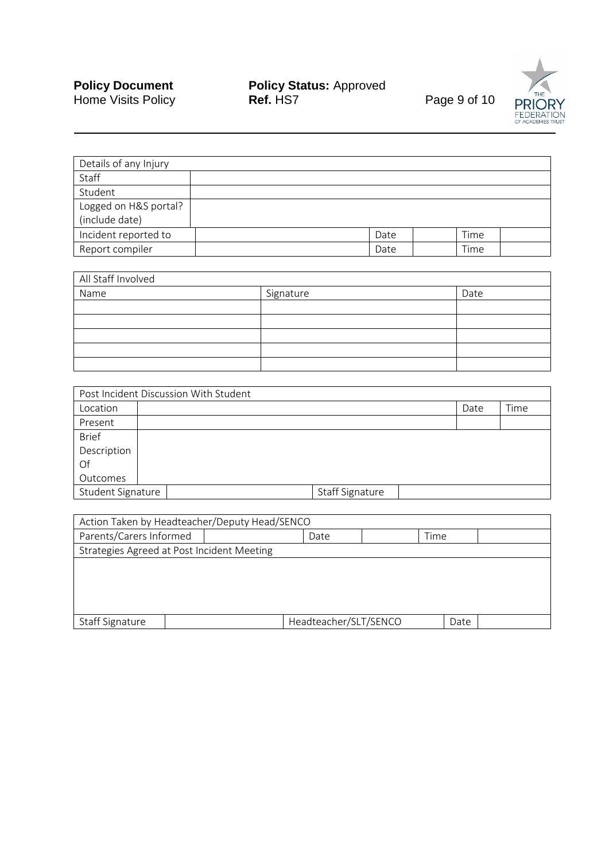#### **Policy Document Policy Status:** Approved Home Visits Policy **Ref.** HS7 **Page 9 of 10**

![](_page_9_Picture_3.jpeg)

| Details of any Injury |  |      |      |  |
|-----------------------|--|------|------|--|
| Staff                 |  |      |      |  |
| Student               |  |      |      |  |
| Logged on H&S portal? |  |      |      |  |
| (include date)        |  |      |      |  |
| Incident reported to  |  | Date | Time |  |
| Report compiler       |  | Date | Time |  |

| All Staff Involved |           |      |  |  |
|--------------------|-----------|------|--|--|
| Name               | Signature | Date |  |  |
|                    |           |      |  |  |
|                    |           |      |  |  |
|                    |           |      |  |  |
|                    |           |      |  |  |
|                    |           |      |  |  |

| Post Incident Discussion With Student |  |                 |      |      |  |
|---------------------------------------|--|-----------------|------|------|--|
| Location                              |  |                 | Date | Time |  |
| Present                               |  |                 |      |      |  |
| <b>Brief</b>                          |  |                 |      |      |  |
| Description                           |  |                 |      |      |  |
| Of                                    |  |                 |      |      |  |
| Outcomes                              |  |                 |      |      |  |
| Student Signature                     |  | Staff Signature |      |      |  |

| Action Taken by Headteacher/Deputy Head/SENCO |  |                       |  |      |  |  |  |  |
|-----------------------------------------------|--|-----------------------|--|------|--|--|--|--|
| Parents/Carers Informed<br>Time<br>Date       |  |                       |  |      |  |  |  |  |
| Strategies Agreed at Post Incident Meeting    |  |                       |  |      |  |  |  |  |
|                                               |  |                       |  |      |  |  |  |  |
|                                               |  |                       |  |      |  |  |  |  |
|                                               |  |                       |  |      |  |  |  |  |
|                                               |  |                       |  |      |  |  |  |  |
| Staff Signature                               |  | Headteacher/SLT/SENCO |  | Date |  |  |  |  |